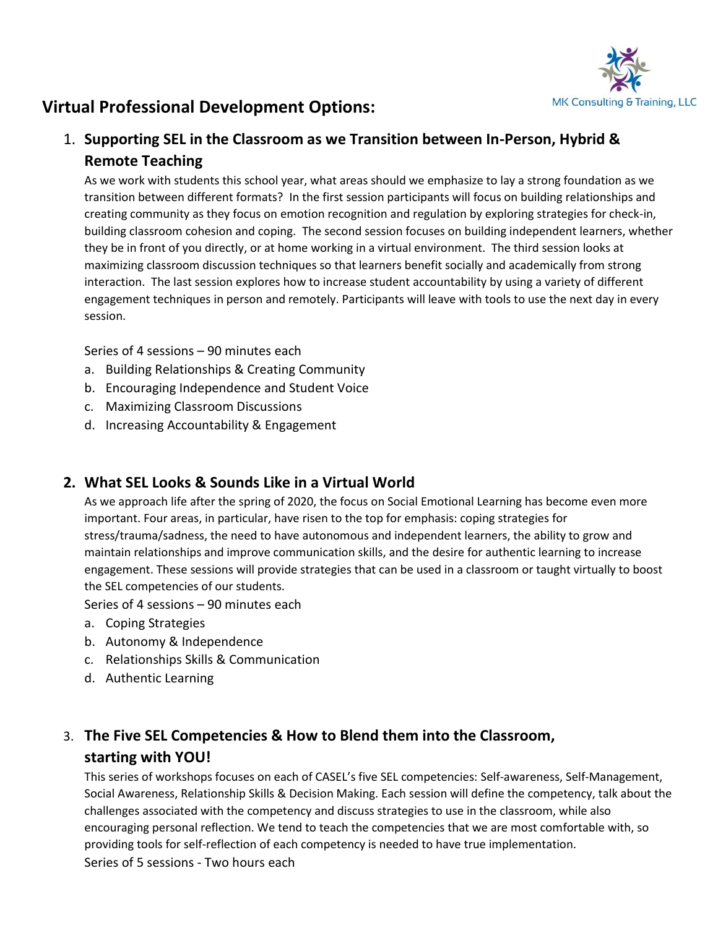

# **Virtual Professional Development Options:**

### 1. **Supporting SEL in the Classroom as we Transition between In-Person, Hybrid & Remote Teaching**

As we work with students this school year, what areas should we emphasize to lay a strong foundation as we transition between different formats? In the first session participants will focus on building relationships and creating community as they focus on emotion recognition and regulation by exploring strategies for check-in, building classroom cohesion and coping. The second session focuses on building independent learners, whether they be in front of you directly, or at home working in a virtual environment. The third session looks at maximizing classroom discussion techniques so that learners benefit socially and academically from strong interaction. The last session explores how to increase student accountability by using a variety of different engagement techniques in person and remotely. Participants will leave with tools to use the next day in every session.

Series of 4 sessions – 90 minutes each

- a. Building Relationships & Creating Community
- b. Encouraging Independence and Student Voice
- c. Maximizing Classroom Discussions
- d. Increasing Accountability & Engagement

#### **2. What SEL Looks & Sounds Like in a Virtual World**

As we approach life after the spring of 2020, the focus on Social Emotional Learning has become even more important. Four areas, in particular, have risen to the top for emphasis: coping strategies for stress/trauma/sadness, the need to have autonomous and independent learners, the ability to grow and maintain relationships and improve communication skills, and the desire for authentic learning to increase engagement. These sessions will provide strategies that can be used in a classroom or taught virtually to boost the SEL competencies of our students.

Series of 4 sessions – 90 minutes each

- a. Coping Strategies
- b. Autonomy & Independence
- c. Relationships Skills & Communication
- d. Authentic Learning

## 3. **The Five SEL Competencies & How to Blend them into the Classroom, starting with YOU!**

This series of workshops focuses on each of CASEL's five SEL competencies: Self-awareness, Self-Management, Social Awareness, Relationship Skills & Decision Making. Each session will define the competency, talk about the challenges associated with the competency and discuss strategies to use in the classroom, while also encouraging personal reflection. We tend to teach the competencies that we are most comfortable with, so providing tools for self-reflection of each competency is needed to have true implementation. Series of 5 sessions - Two hours each